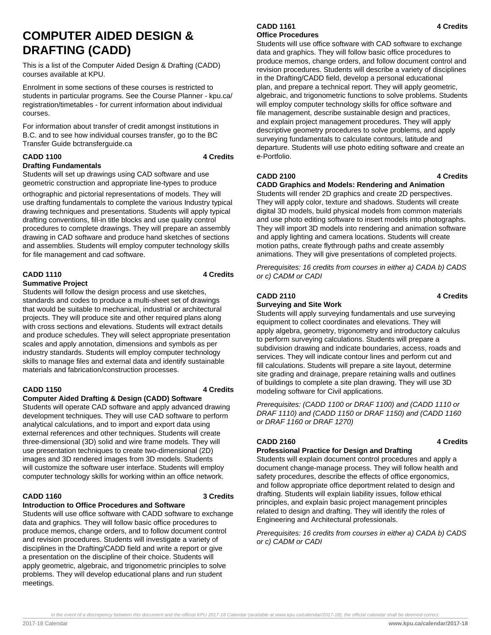# **COMPUTER AIDED DESIGN & DRAFTING (CADD)**

This is a list of the Computer Aided Design & Drafting (CADD) courses available at KPU.

Enrolment in some sections of these courses is restricted to students in particular programs. See the Course Planner - kpu.ca/ registration/timetables - for current information about individual courses.

For information about transfer of credit amongst institutions in B.C. and to see how individual courses transfer, go to the BC Transfer Guide bctransferguide.ca

## **CADD 1100 4 Credits**

## **Drafting Fundamentals**

Students will set up drawings using CAD software and use geometric construction and appropriate line-types to produce

orthographic and pictorial representations of models. They will use drafting fundamentals to complete the various Industry typical drawing techniques and presentations. Students will apply typical drafting conventions, fill-in title blocks and use quality control procedures to complete drawings. They will prepare an assembly drawing in CAD software and produce hand sketches of sections and assemblies. Students will employ computer technology skills for file management and cad software.

## **CADD 1110 4 Credits**

## **Summative Project**

Students will follow the design process and use sketches, standards and codes to produce a multi-sheet set of drawings that would be suitable to mechanical, industrial or architectural projects. They will produce site and other required plans along with cross sections and elevations. Students will extract details and produce schedules. They will select appropriate presentation scales and apply annotation, dimensions and symbols as per industry standards. Students will employ computer technology skills to manage files and external data and identify sustainable materials and fabrication/construction processes.

## **CADD 1150 4 Credits**

## **Computer Aided Drafting & Design (CADD) Software**

Students will operate CAD software and apply advanced drawing development techniques. They will use CAD software to perform analytical calculations, and to import and export data using external references and other techniques. Students will create three-dimensional (3D) solid and wire frame models. They will use presentation techniques to create two-dimensional (2D) images and 3D rendered images from 3D models. Students will customize the software user interface. Students will employ computer technology skills for working within an office network.

## **CADD 1160 3 Credits**

## **Introduction to Office Procedures and Software**

Students will use office software with CADD software to exchange data and graphics. They will follow basic office procedures to produce memos, change orders, and to follow document control and revision procedures. Students will investigate a variety of disciplines in the Drafting/CADD field and write a report or give a presentation on the discipline of their choice. Students will apply geometric, algebraic, and trigonometric principles to solve problems. They will develop educational plans and run student meetings.

## **CADD 1161 4 Credits Office Procedures**

Students will use office software with CAD software to exchange data and graphics. They will follow basic office procedures to produce memos, change orders, and follow document control and revision procedures. Students will describe a variety of disciplines in the Drafting/CADD field, develop a personal educational plan, and prepare a technical report. They will apply geometric, algebraic, and trigonometric functions to solve problems. Students will employ computer technology skills for office software and file management, describe sustainable design and practices, and explain project management procedures. They will apply descriptive geometry procedures to solve problems, and apply surveying fundamentals to calculate contours, latitude and departure. Students will use photo editing software and create an e-Portfolio.

## **CADD 2100 4 Credits**

## **CADD Graphics and Models: Rendering and Animation**

Students will render 2D graphics and create 2D perspectives. They will apply color, texture and shadows. Students will create digital 3D models, build physical models from common materials and use photo editing software to insert models into photographs. They will import 3D models into rendering and animation software and apply lighting and camera locations. Students will create motion paths, create flythrough paths and create assembly animations. They will give presentations of completed projects.

Prerequisites: 16 credits from courses in either a) CADA b) CADS or c) CADM or CADI

## **CADD 2110 4 Credits**

## **Surveying and Site Work**

Students will apply surveying fundamentals and use surveying equipment to collect coordinates and elevations. They will apply algebra, geometry, trigonometry and introductory calculus to perform surveying calculations. Students will prepare a subdivision drawing and indicate boundaries, access, roads and services. They will indicate contour lines and perform cut and fill calculations. Students will prepare a site layout, determine site grading and drainage, prepare retaining walls and outlines of buildings to complete a site plan drawing. They will use 3D modeling software for Civil applications.

Prerequisites: (CADD 1100 or DRAF 1100) and (CADD 1110 or DRAF 1110) and (CADD 1150 or DRAF 1150) and (CADD 1160 or DRAF 1160 or DRAF 1270)

## **CADD 2160 4 Credits**

## **Professional Practice for Design and Drafting**

Students will explain document control procedures and apply a document change-manage process. They will follow health and safety procedures, describe the effects of office ergonomics, and follow appropriate office deportment related to design and drafting. Students will explain liability issues, follow ethical principles, and explain basic project management principles related to design and drafting. They will identify the roles of Engineering and Architectural professionals.

Prerequisites: 16 credits from courses in either a) CADA b) CADS or c) CADM or CADI

In the event of a discrepency between this document and the official KPU 2017-18 Calendar (available at www.kpu.ca/calendar/2017-18), the official calendar shall be deemed correct.